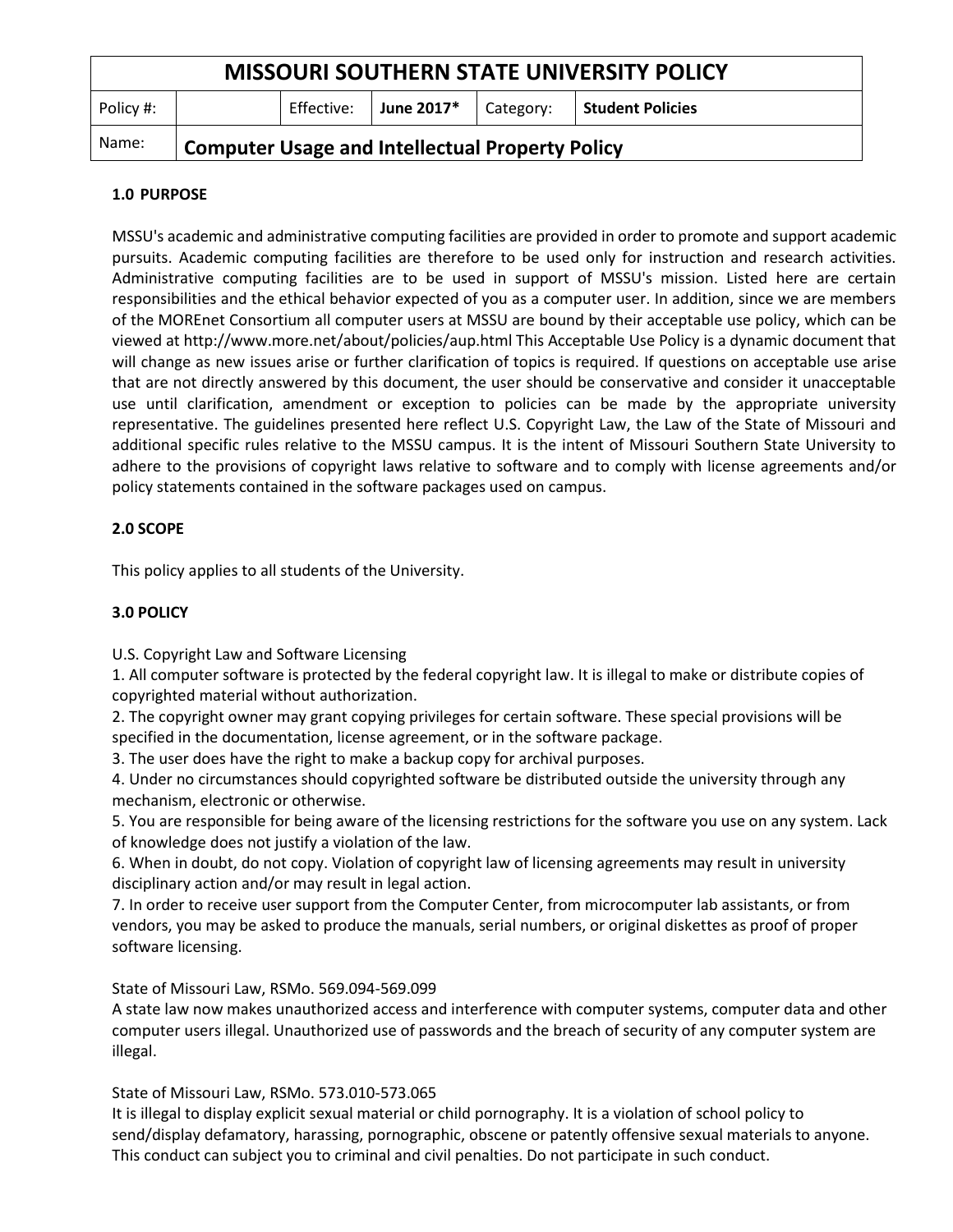| <b>MISSOURI SOUTHERN STATE UNIVERSITY POLICY</b> |                                                        |            |            |           |                  |
|--------------------------------------------------|--------------------------------------------------------|------------|------------|-----------|------------------|
| Policy #:                                        |                                                        | Effective: | June 2017* | Category: | Student Policies |
| Name:                                            | <b>Computer Usage and Intellectual Property Policy</b> |            |            |           |                  |

### **1.0 PURPOSE**

MSSU's academic and administrative computing facilities are provided in order to promote and support academic pursuits. Academic computing facilities are therefore to be used only for instruction and research activities. Administrative computing facilities are to be used in support of MSSU's mission. Listed here are certain responsibilities and the ethical behavior expected of you as a computer user. In addition, since we are members of the MOREnet Consortium all computer users at MSSU are bound by their acceptable use policy, which can be viewed at http://www.more.net/about/policies/aup.html This Acceptable Use Policy is a dynamic document that will change as new issues arise or further clarification of topics is required. If questions on acceptable use arise that are not directly answered by this document, the user should be conservative and consider it unacceptable use until clarification, amendment or exception to policies can be made by the appropriate university representative. The guidelines presented here reflect U.S. Copyright Law, the Law of the State of Missouri and additional specific rules relative to the MSSU campus. It is the intent of Missouri Southern State University to adhere to the provisions of copyright laws relative to software and to comply with license agreements and/or policy statements contained in the software packages used on campus.

# **2.0 SCOPE**

This policy applies to all students of the University.

# **3.0 POLICY**

U.S. Copyright Law and Software Licensing

1. All computer software is protected by the federal copyright law. It is illegal to make or distribute copies of copyrighted material without authorization.

2. The copyright owner may grant copying privileges for certain software. These special provisions will be specified in the documentation, license agreement, or in the software package.

3. The user does have the right to make a backup copy for archival purposes.

4. Under no circumstances should copyrighted software be distributed outside the university through any mechanism, electronic or otherwise.

5. You are responsible for being aware of the licensing restrictions for the software you use on any system. Lack of knowledge does not justify a violation of the law.

6. When in doubt, do not copy. Violation of copyright law of licensing agreements may result in university disciplinary action and/or may result in legal action.

7. In order to receive user support from the Computer Center, from microcomputer lab assistants, or from vendors, you may be asked to produce the manuals, serial numbers, or original diskettes as proof of proper software licensing.

### State of Missouri Law, RSMo. 569.094-569.099

A state law now makes unauthorized access and interference with computer systems, computer data and other computer users illegal. Unauthorized use of passwords and the breach of security of any computer system are illegal.

# State of Missouri Law, RSMo. 573.010-573.065

It is illegal to display explicit sexual material or child pornography. It is a violation of school policy to send/display defamatory, harassing, pornographic, obscene or patently offensive sexual materials to anyone. This conduct can subject you to criminal and civil penalties. Do not participate in such conduct.